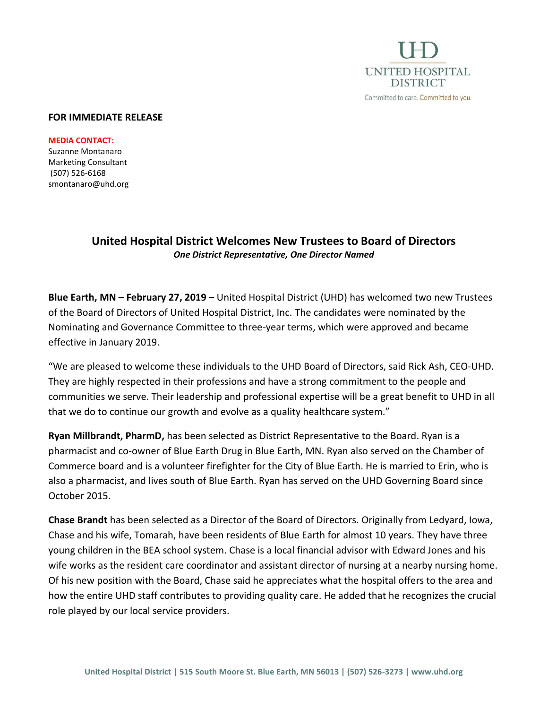

## **FOR IMMEDIATE RELEASE**

**MEDIA CONTACT:** Suzanne Montanaro Marketing Consultant (507) 526-6168 smontanaro@uhd.org

## **United Hospital District Welcomes New Trustees to Board of Directors** *One District Representative, One Director Named*

**Blue Earth, MN – February 27, 2019 –** United Hospital District (UHD) has welcomed two new Trustees of the Board of Directors of United Hospital District, Inc. The candidates were nominated by the Nominating and Governance Committee to three-year terms, which were approved and became effective in January 2019.

"We are pleased to welcome these individuals to the UHD Board of Directors, said Rick Ash, CEO-UHD. They are highly respected in their professions and have a strong commitment to the people and communities we serve. Their leadership and professional expertise will be a great benefit to UHD in all that we do to continue our growth and evolve as a quality healthcare system."

**Ryan Millbrandt, PharmD,** has been selected as District Representative to the Board. Ryan is a pharmacist and co-owner of Blue Earth Drug in Blue Earth, MN. Ryan also served on the Chamber of Commerce board and is a volunteer firefighter for the City of Blue Earth. He is married to Erin, who is also a pharmacist, and lives south of Blue Earth. Ryan has served on the UHD Governing Board since October 2015.

**Chase Brandt** has been selected as a Director of the Board of Directors. Originally from Ledyard, Iowa, Chase and his wife, Tomarah, have been residents of Blue Earth for almost 10 years. They have three young children in the BEA school system. Chase is a local financial advisor with Edward Jones and his wife works as the resident care coordinator and assistant director of nursing at a nearby nursing home. Of his new position with the Board, Chase said he appreciates what the hospital offers to the area and how the entire UHD staff contributes to providing quality care. He added that he recognizes the crucial role played by our local service providers.